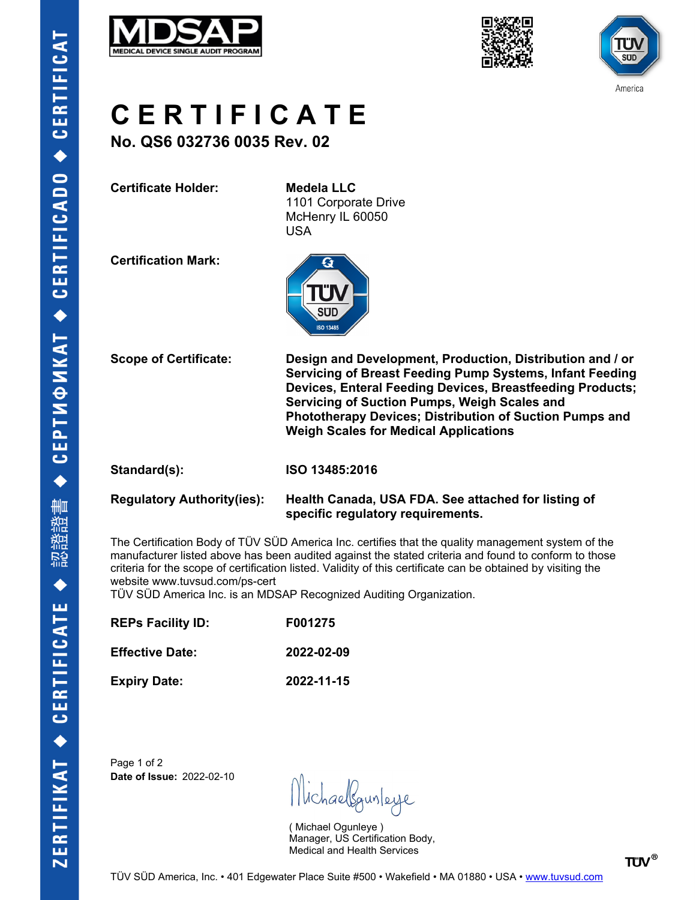





# **C E R T I F I C A T E**

**No. QS6 032736 0035 Rev. 02**

**Certificate Holder: Medela LLC**

1101 Corporate Drive McHenry IL 60050 USA

**Certification Mark:**



**Scope of Certificate: Design and Development, Production, Distribution and / or Servicing of Breast Feeding Pump Systems, Infant Feeding Devices, Enteral Feeding Devices, Breastfeeding Products; Servicing of Suction Pumps, Weigh Scales and Phototherapy Devices; Distribution of Suction Pumps and Weigh Scales for Medical Applications**

**Standard(s): ISO 13485:2016**

### **Regulatory Authority(ies): Health Canada, USA FDA. See attached for listing of specific regulatory requirements.**

The Certification Body of TÜV SÜD America Inc. certifies that the quality management system of the manufacturer listed above has been audited against the stated criteria and found to conform to those criteria for the scope of certification listed. Validity of this certificate can be obtained by visiting the website www.tuvsud.com/ps-cert

TÜV SÜD America Inc. is an MDSAP Recognized Auditing Organization.

| <b>REPs Facility ID:</b><br><b>Effective Date:</b> | F001275<br>2022-02-09 |
|----------------------------------------------------|-----------------------|
|                                                    |                       |

Page 1 of 2 **Date of Issue:** 2022-02-10

Michaellgunleye

( Michael Ogunleye ) Manager, US Certification Body, Medical and Health Services